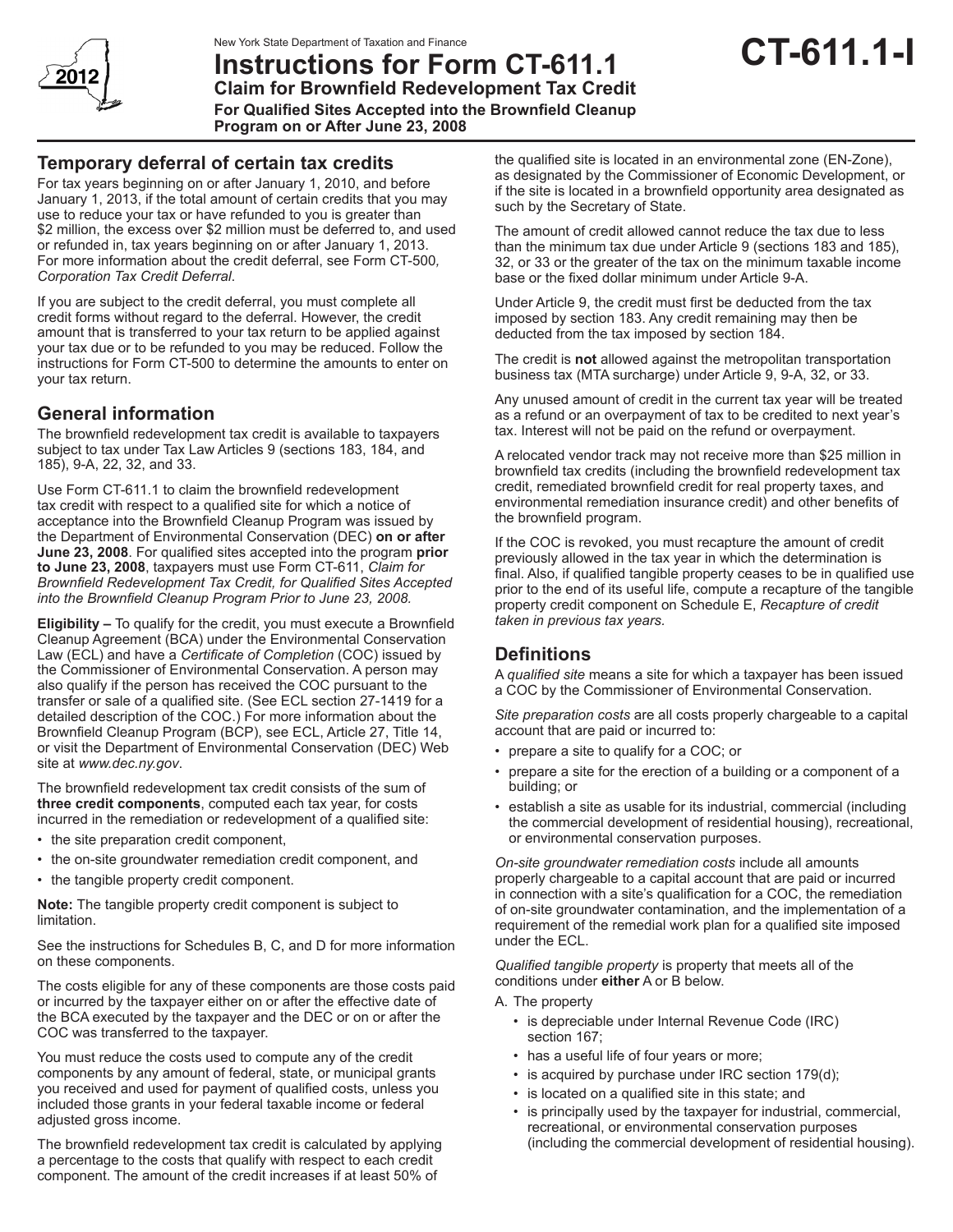

# **Instructions for Form CT-611.1 Claim for Brownfield Redevelopment Tax Credit**

**CT-611.1-I**

**For Qualified Sites Accepted into the Brownfield Cleanup Program on or After June 23, 2008**

# **Temporary deferral of certain tax credits**

For tax years beginning on or after January 1, 2010, and before January 1, 2013, if the total amount of certain credits that you may use to reduce your tax or have refunded to you is greater than \$2 million, the excess over \$2 million must be deferred to, and used or refunded in, tax years beginning on or after January 1, 2013. For more information about the credit deferral, see Form CT-500*, Corporation Tax Credit Deferral*.

If you are subject to the credit deferral, you must complete all credit forms without regard to the deferral. However, the credit amount that is transferred to your tax return to be applied against your tax due or to be refunded to you may be reduced. Follow the instructions for Form CT-500 to determine the amounts to enter on your tax return.

# **General information**

The brownfield redevelopment tax credit is available to taxpayers subject to tax under Tax Law Articles 9 (sections 183, 184, and 185), 9-A, 22, 32, and 33.

Use Form CT-611.1 to claim the brownfield redevelopment tax credit with respect to a qualified site for which a notice of acceptance into the Brownfield Cleanup Program was issued by the Department of Environmental Conservation (DEC) **on or after June 23, 2008**. For qualified sites accepted into the program **prior to June 23, 2008**, taxpayers must use Form CT-611, *Claim for Brownfield Redevelopment Tax Credit, for Qualified Sites Accepted into the Brownfield Cleanup Program Prior to June 23, 2008.*

**Eligibility –** To qualify for the credit, you must execute a Brownfield Cleanup Agreement (BCA) under the Environmental Conservation Law (ECL) and have a *Certificate of Completion* (COC) issued by the Commissioner of Environmental Conservation. A person may also qualify if the person has received the COC pursuant to the transfer or sale of a qualified site. (See ECL section 27-1419 for a detailed description of the COC.) For more information about the Brownfield Cleanup Program (BCP), see ECL, Article 27, Title 14, or visit the Department of Environmental Conservation (DEC) Web site at *www.dec.ny.gov*.

The brownfield redevelopment tax credit consists of the sum of **three credit components**, computed each tax year, for costs incurred in the remediation or redevelopment of a qualified site:

- the site preparation credit component,
- the on-site groundwater remediation credit component, and
- the tangible property credit component.

**Note:** The tangible property credit component is subject to limitation.

See the instructions for Schedules B, C, and D for more information on these components.

The costs eligible for any of these components are those costs paid or incurred by the taxpayer either on or after the effective date of the BCA executed by the taxpayer and the DEC or on or after the COC was transferred to the taxpayer.

You must reduce the costs used to compute any of the credit components by any amount of federal, state, or municipal grants you received and used for payment of qualified costs, unless you included those grants in your federal taxable income or federal adjusted gross income.

The brownfield redevelopment tax credit is calculated by applying a percentage to the costs that qualify with respect to each credit component. The amount of the credit increases if at least 50% of

the qualified site is located in an environmental zone (EN-Zone), as designated by the Commissioner of Economic Development, or if the site is located in a brownfield opportunity area designated as such by the Secretary of State.

The amount of credit allowed cannot reduce the tax due to less than the minimum tax due under Article 9 (sections 183 and 185), 32, or 33 or the greater of the tax on the minimum taxable income base or the fixed dollar minimum under Article 9-A.

Under Article 9, the credit must first be deducted from the tax imposed by section 183. Any credit remaining may then be deducted from the tax imposed by section 184.

The credit is **not** allowed against the metropolitan transportation business tax (MTA surcharge) under Article 9, 9-A, 32, or 33.

Any unused amount of credit in the current tax year will be treated as a refund or an overpayment of tax to be credited to next year's tax. Interest will not be paid on the refund or overpayment.

A relocated vendor track may not receive more than \$25 million in brownfield tax credits (including the brownfield redevelopment tax credit, remediated brownfield credit for real property taxes, and environmental remediation insurance credit) and other benefits of the brownfield program.

If the COC is revoked, you must recapture the amount of credit previously allowed in the tax year in which the determination is final. Also, if qualified tangible property ceases to be in qualified use prior to the end of its useful life, compute a recapture of the tangible property credit component on Schedule E, *Recapture of credit taken in previous tax years.*

# **Definitions**

A *qualified site* means a site for which a taxpayer has been issued a COC by the Commissioner of Environmental Conservation.

*Site preparation costs* are all costs properly chargeable to a capital account that are paid or incurred to:

- prepare a site to qualify for a COC; or
- prepare a site for the erection of a building or a component of a building; or
- establish a site as usable for its industrial, commercial (including the commercial development of residential housing), recreational, or environmental conservation purposes.

*On-site groundwater remediation costs* include all amounts properly chargeable to a capital account that are paid or incurred in connection with a site's qualification for a COC, the remediation of on-site groundwater contamination, and the implementation of a requirement of the remedial work plan for a qualified site imposed under the ECL.

*Qualified tangible property* is property that meets all of the conditions under **either** A or B below.

- A. The property
	- is depreciable under Internal Revenue Code (IRC) section 167;
	- has a useful life of four years or more;
	- is acquired by purchase under IRC section 179(d);
	- is located on a qualified site in this state; and
	- is principally used by the taxpayer for industrial, commercial, recreational, or environmental conservation purposes (including the commercial development of residential housing).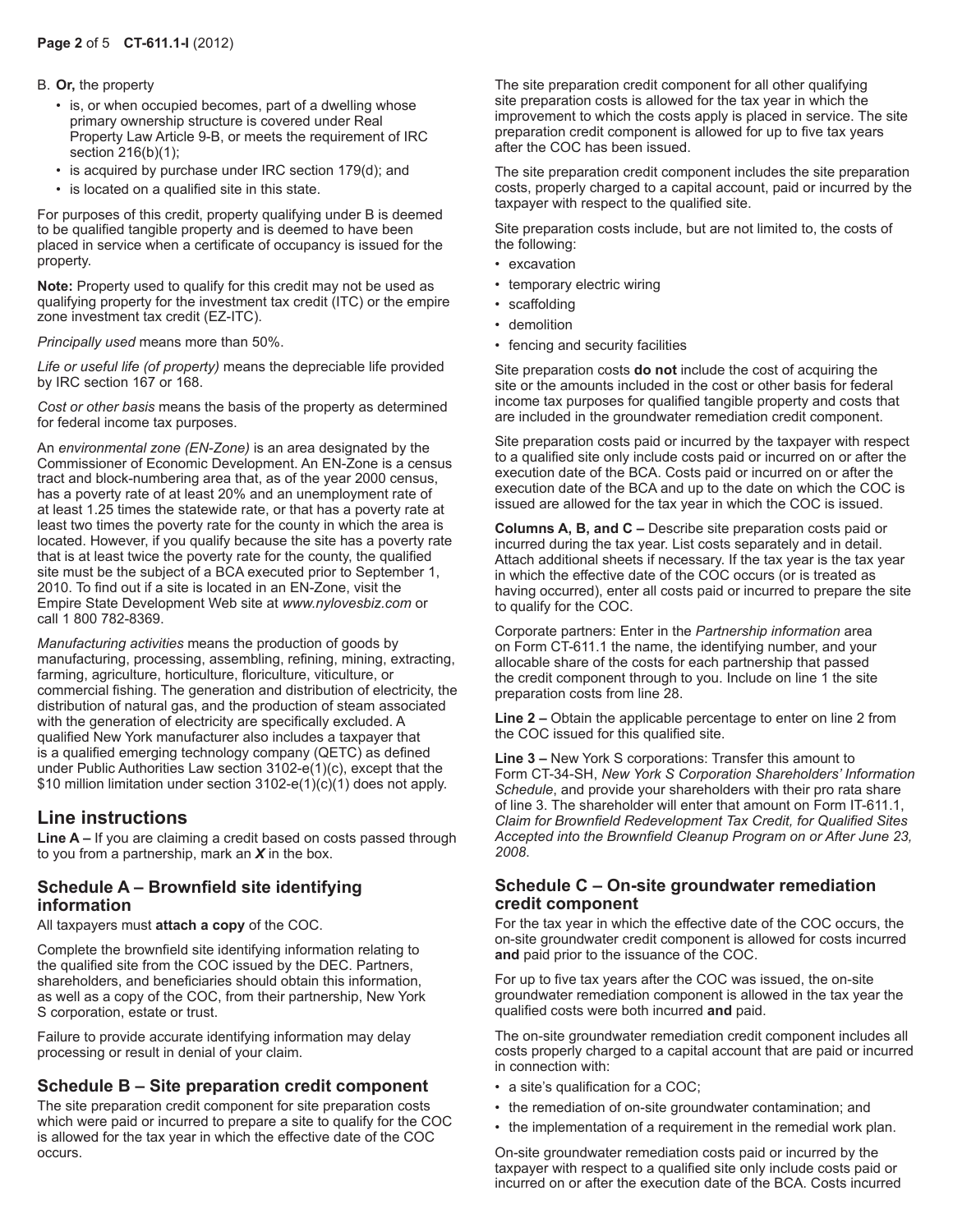#### B. **Or,** the property

- is, or when occupied becomes, part of a dwelling whose primary ownership structure is covered under Real Property Law Article 9-B, or meets the requirement of IRC section 216(b)(1);
- is acquired by purchase under IRC section 179(d); and
- is located on a qualified site in this state.

For purposes of this credit, property qualifying under B is deemed to be qualified tangible property and is deemed to have been placed in service when a certificate of occupancy is issued for the property.

**Note:** Property used to qualify for this credit may not be used as qualifying property for the investment tax credit (ITC) or the empire zone investment tax credit (EZ-ITC).

*Principally used* means more than 50%.

*Life or useful life (of property)* means the depreciable life provided by IRC section 167 or 168.

*Cost or other basis* means the basis of the property as determined for federal income tax purposes.

An *environmental zone (EN-Zone)* is an area designated by the Commissioner of Economic Development. An EN-Zone is a census tract and block-numbering area that, as of the year 2000 census, has a poverty rate of at least 20% and an unemployment rate of at least 1.25 times the statewide rate, or that has a poverty rate at least two times the poverty rate for the county in which the area is located. However, if you qualify because the site has a poverty rate that is at least twice the poverty rate for the county, the qualified site must be the subject of a BCA executed prior to September 1, 2010. To find out if a site is located in an EN-Zone, visit the Empire State Development Web site at *www.nylovesbiz.com* or call 1 800 782-8369.

*Manufacturing activities* means the production of goods by manufacturing, processing, assembling, refining, mining, extracting, farming, agriculture, horticulture, floriculture, viticulture, or commercial fishing. The generation and distribution of electricity, the distribution of natural gas, and the production of steam associated with the generation of electricity are specifically excluded. A qualified New York manufacturer also includes a taxpayer that is a qualified emerging technology company (QETC) as defined under Public Authorities Law section 3102-e(1)(c), except that the \$10 million limitation under section 3102-e(1)(c)(1) does not apply.

## **Line instructions**

**Line A –** If you are claiming a credit based on costs passed through to you from a partnership, mark an *X* in the box.

### **Schedule A – Brownfield site identifying information**

All taxpayers must **attach a copy** of the COC.

Complete the brownfield site identifying information relating to the qualified site from the COC issued by the DEC. Partners, shareholders, and beneficiaries should obtain this information, as well as a copy of the COC, from their partnership, New York S corporation, estate or trust.

Failure to provide accurate identifying information may delay processing or result in denial of your claim.

## **Schedule B – Site preparation credit component**

The site preparation credit component for site preparation costs which were paid or incurred to prepare a site to qualify for the COC is allowed for the tax year in which the effective date of the COC occurs.

The site preparation credit component for all other qualifying site preparation costs is allowed for the tax year in which the improvement to which the costs apply is placed in service. The site preparation credit component is allowed for up to five tax years after the COC has been issued.

The site preparation credit component includes the site preparation costs, properly charged to a capital account, paid or incurred by the taxpayer with respect to the qualified site.

Site preparation costs include, but are not limited to, the costs of the following:

- excavation
- temporary electric wiring
- scaffolding
	- demolition
	- fencing and security facilities

Site preparation costs **do not** include the cost of acquiring the site or the amounts included in the cost or other basis for federal income tax purposes for qualified tangible property and costs that are included in the groundwater remediation credit component.

Site preparation costs paid or incurred by the taxpayer with respect to a qualified site only include costs paid or incurred on or after the execution date of the BCA. Costs paid or incurred on or after the execution date of the BCA and up to the date on which the COC is issued are allowed for the tax year in which the COC is issued.

**Columns A, B, and C –** Describe site preparation costs paid or incurred during the tax year. List costs separately and in detail. Attach additional sheets if necessary. If the tax year is the tax year in which the effective date of the COC occurs (or is treated as having occurred), enter all costs paid or incurred to prepare the site to qualify for the COC.

Corporate partners: Enter in the *Partnership information* area on Form CT-611.1 the name, the identifying number, and your allocable share of the costs for each partnership that passed the credit component through to you. Include on line 1 the site preparation costs from line 28.

**Line 2 –** Obtain the applicable percentage to enter on line 2 from the COC issued for this qualified site.

**Line 3 –** New York S corporations: Transfer this amount to Form CT-34-SH, *New York S Corporation Shareholders' Information Schedule*, and provide your shareholders with their pro rata share of line 3. The shareholder will enter that amount on Form IT-611.1, *Claim for Brownfield Redevelopment Tax Credit, for Qualified Sites Accepted into the Brownfield Cleanup Program on or After June 23, 2008*.

## **Schedule C – On-site groundwater remediation credit component**

For the tax year in which the effective date of the COC occurs, the on-site groundwater credit component is allowed for costs incurred **and** paid prior to the issuance of the COC.

For up to five tax years after the COC was issued, the on-site groundwater remediation component is allowed in the tax year the qualified costs were both incurred **and** paid.

The on-site groundwater remediation credit component includes all costs properly charged to a capital account that are paid or incurred in connection with:

- a site's qualification for a COC;
- the remediation of on-site groundwater contamination; and
- the implementation of a requirement in the remedial work plan.

On-site groundwater remediation costs paid or incurred by the taxpayer with respect to a qualified site only include costs paid or incurred on or after the execution date of the BCA. Costs incurred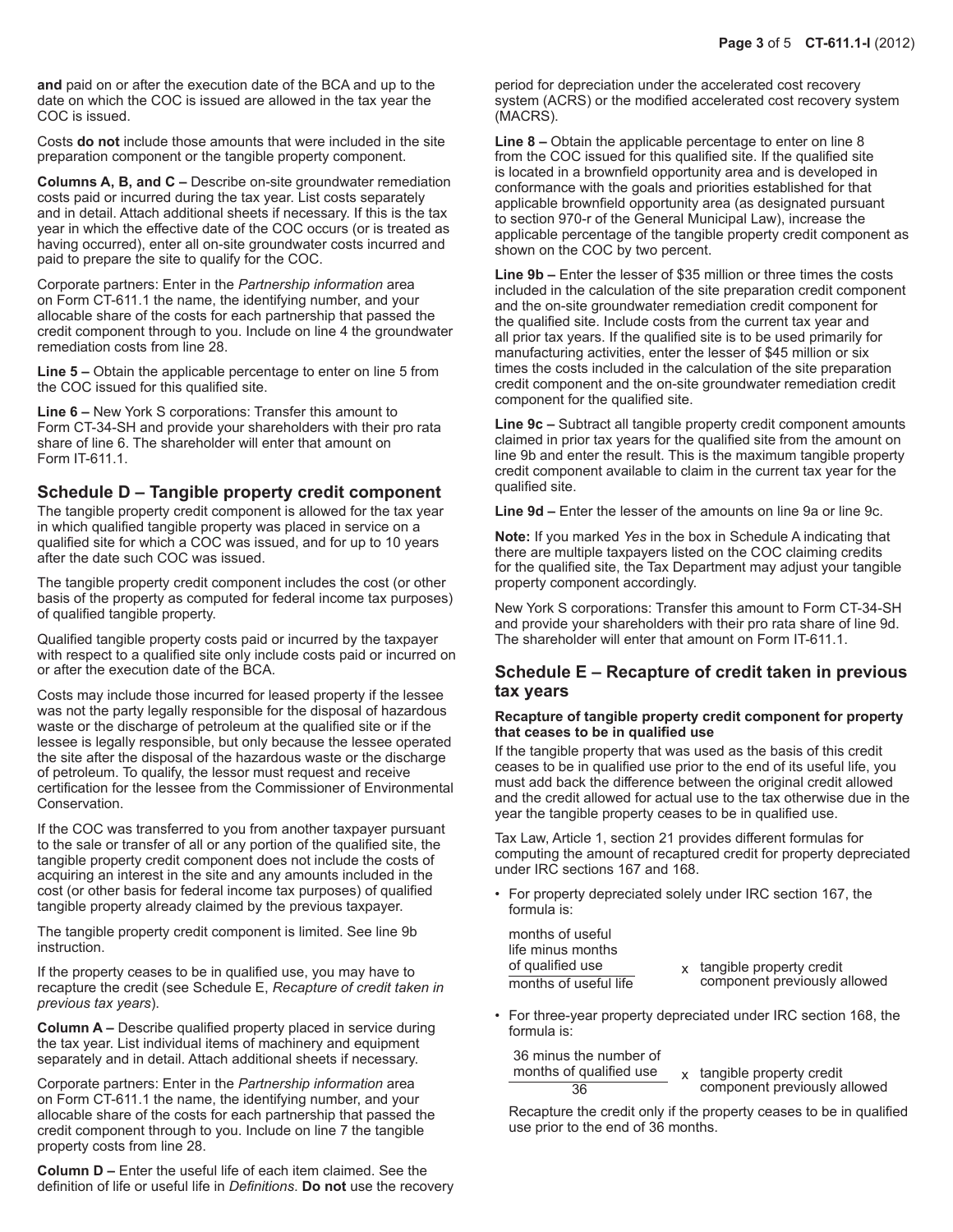**and** paid on or after the execution date of the BCA and up to the date on which the COC is issued are allowed in the tax year the COC is issued.

Costs **do not** include those amounts that were included in the site preparation component or the tangible property component.

**Columns A, B, and C –** Describe on-site groundwater remediation costs paid or incurred during the tax year. List costs separately and in detail. Attach additional sheets if necessary. If this is the tax year in which the effective date of the COC occurs (or is treated as having occurred), enter all on-site groundwater costs incurred and paid to prepare the site to qualify for the COC.

Corporate partners: Enter in the *Partnership information* area on Form CT-611.1 the name, the identifying number, and your allocable share of the costs for each partnership that passed the credit component through to you. Include on line 4 the groundwater remediation costs from line 28.

**Line 5 –** Obtain the applicable percentage to enter on line 5 from the COC issued for this qualified site.

**Line 6 –** New York S corporations: Transfer this amount to Form CT-34-SH and provide your shareholders with their pro rata share of line 6. The shareholder will enter that amount on Form IT-611.1.

#### **Schedule D – Tangible property credit component**

The tangible property credit component is allowed for the tax year in which qualified tangible property was placed in service on a qualified site for which a COC was issued, and for up to 10 years after the date such COC was issued.

The tangible property credit component includes the cost (or other basis of the property as computed for federal income tax purposes) of qualified tangible property.

Qualified tangible property costs paid or incurred by the taxpayer with respect to a qualified site only include costs paid or incurred on or after the execution date of the BCA.

Costs may include those incurred for leased property if the lessee was not the party legally responsible for the disposal of hazardous waste or the discharge of petroleum at the qualified site or if the lessee is legally responsible, but only because the lessee operated the site after the disposal of the hazardous waste or the discharge of petroleum. To qualify, the lessor must request and receive certification for the lessee from the Commissioner of Environmental Conservation.

If the COC was transferred to you from another taxpayer pursuant to the sale or transfer of all or any portion of the qualified site, the tangible property credit component does not include the costs of acquiring an interest in the site and any amounts included in the cost (or other basis for federal income tax purposes) of qualified tangible property already claimed by the previous taxpayer.

The tangible property credit component is limited. See line 9b instruction.

If the property ceases to be in qualified use, you may have to recapture the credit (see Schedule E, *Recapture of credit taken in previous tax years*).

**Column A –** Describe qualified property placed in service during the tax year. List individual items of machinery and equipment separately and in detail. Attach additional sheets if necessary.

Corporate partners: Enter in the *Partnership information* area on Form CT-611.1 the name, the identifying number, and your allocable share of the costs for each partnership that passed the credit component through to you. Include on line 7 the tangible property costs from line 28.

**Column D –** Enter the useful life of each item claimed. See the definition of life or useful life in *Definitions*. **Do not** use the recovery period for depreciation under the accelerated cost recovery system (ACRS) or the modified accelerated cost recovery system (MACRS).

**Line 8 –** Obtain the applicable percentage to enter on line 8 from the COC issued for this qualified site. If the qualified site is located in a brownfield opportunity area and is developed in conformance with the goals and priorities established for that applicable brownfield opportunity area (as designated pursuant to section 970-r of the General Municipal Law), increase the applicable percentage of the tangible property credit component as shown on the COC by two percent.

**Line 9b –** Enter the lesser of \$35 million or three times the costs included in the calculation of the site preparation credit component and the on-site groundwater remediation credit component for the qualified site. Include costs from the current tax year and all prior tax years. If the qualified site is to be used primarily for manufacturing activities, enter the lesser of \$45 million or six times the costs included in the calculation of the site preparation credit component and the on-site groundwater remediation credit component for the qualified site.

**Line 9c –** Subtract all tangible property credit component amounts claimed in prior tax years for the qualified site from the amount on line 9b and enter the result. This is the maximum tangible property credit component available to claim in the current tax year for the qualified site.

**Line 9d –** Enter the lesser of the amounts on line 9a or line 9c.

**Note:** If you marked *Yes* in the box in Schedule A indicating that there are multiple taxpayers listed on the COC claiming credits for the qualified site, the Tax Department may adjust your tangible property component accordingly.

New York S corporations: Transfer this amount to Form CT-34-SH and provide your shareholders with their pro rata share of line 9d. The shareholder will enter that amount on Form IT-611.1.

### **Schedule E – Recapture of credit taken in previous tax years**

#### **Recapture of tangible property credit component for property that ceases to be in qualified use**

If the tangible property that was used as the basis of this credit ceases to be in qualified use prior to the end of its useful life, you must add back the difference between the original credit allowed and the credit allowed for actual use to the tax otherwise due in the year the tangible property ceases to be in qualified use.

Tax Law, Article 1, section 21 provides different formulas for computing the amount of recaptured credit for property depreciated under IRC sections 167 and 168.

• For property depreciated solely under IRC section 167, the formula is:

months of useful life minus months

- of qualified use <br>
months of useful life component previously and the component previously component previously allowed
- For three-year property depreciated under IRC section 168, the formula is:

36 minus the number of<br>months of qualified use

 $\frac{f}{36}$  qualified use  $\frac{x}{36}$  tangible property credit<br>component previously a component previously allowed

Recapture the credit only if the property ceases to be in qualified use prior to the end of 36 months.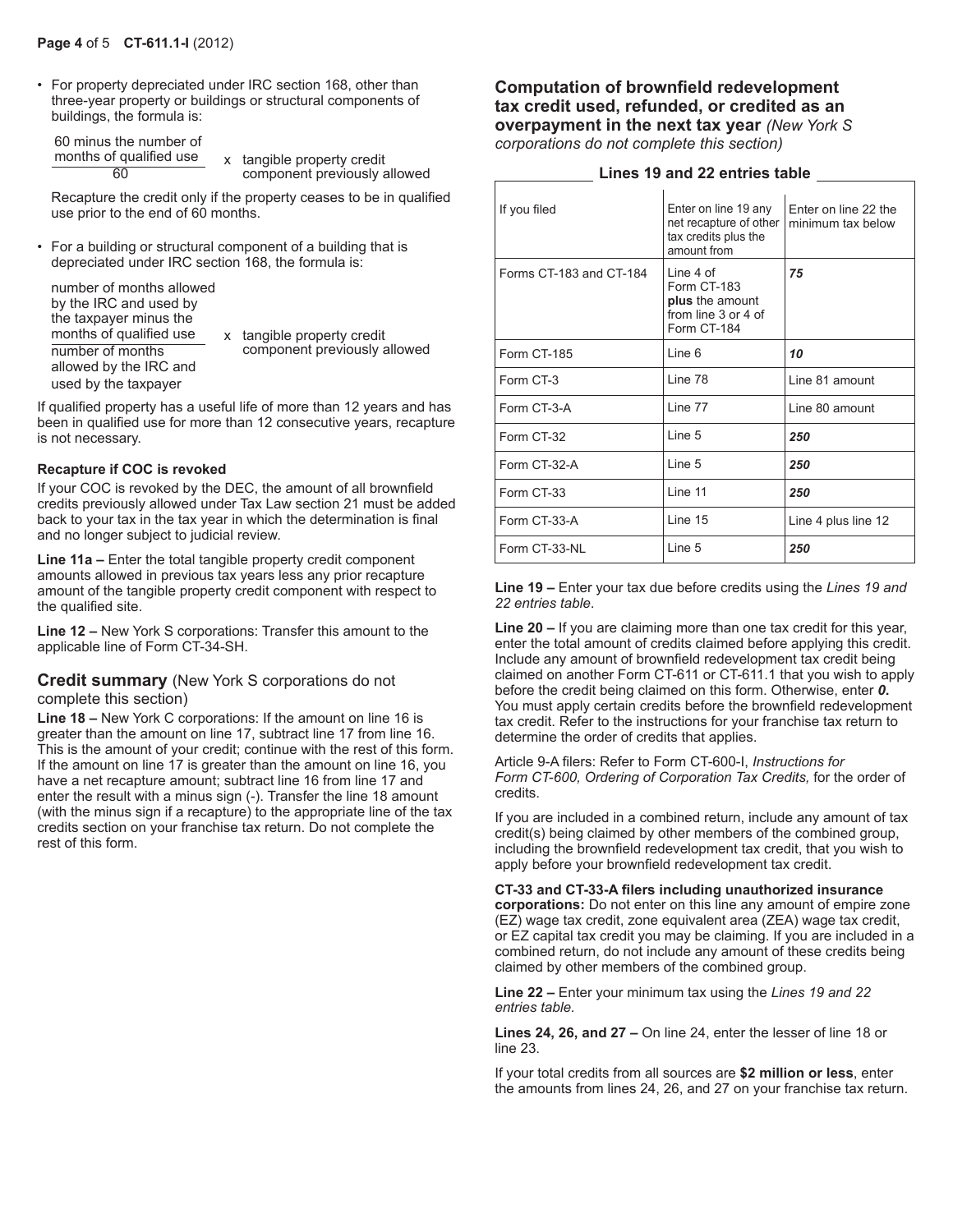• For property depreciated under IRC section 168, other than three-year property or buildings or structural components of buildings, the formula is:

| 60 minus the number of  |  |  |
|-------------------------|--|--|
| months of qualified use |  |  |
|                         |  |  |

 $\frac{\text{months of qualified use}}{60}$  x tangible property credit component previously allowed

Recapture the credit only if the property ceases to be in qualified use prior to the end of 60 months.

• For a building or structural component of a building that is depreciated under IRC section 168, the formula is:

number of months allowed by the IRC and used by the taxpayer minus the months of qualified use number of months allowed by the IRC and used by the taxpayer

x tangible property credit component previously allowed

If qualified property has a useful life of more than 12 years and has been in qualified use for more than 12 consecutive years, recapture is not necessary.

#### **Recapture if COC is revoked**

If your COC is revoked by the DEC, the amount of all brownfield credits previously allowed under Tax Law section 21 must be added back to your tax in the tax year in which the determination is final and no longer subject to judicial review.

Line 11a – Enter the total tangible property credit component amounts allowed in previous tax years less any prior recapture amount of the tangible property credit component with respect to the qualified site.

**Line 12 –** New York S corporations: Transfer this amount to the applicable line of Form CT-34-SH.

#### **Credit summary** (New York S corporations do not complete this section)

**Line 18 –** New York C corporations: If the amount on line 16 is greater than the amount on line 17, subtract line 17 from line 16. This is the amount of your credit; continue with the rest of this form. If the amount on line 17 is greater than the amount on line 16, you have a net recapture amount; subtract line 16 from line 17 and enter the result with a minus sign (-). Transfer the line 18 amount (with the minus sign if a recapture) to the appropriate line of the tax credits section on your franchise tax return. Do not complete the rest of this form.

#### **Computation of brownfield redevelopment tax credit used, refunded, or credited as an overpayment in the next tax year** *(New York S corporations do not complete this section)*

#### **Lines 19 and 22 entries table**

| If you filed            | Enter on line 19 any<br>net recapture of other<br>tax credits plus the<br>amount from | Fnter on line 22 the<br>minimum tax below |
|-------------------------|---------------------------------------------------------------------------------------|-------------------------------------------|
| Forms CT-183 and CT-184 | Line 4 of<br>Form CT-183<br>plus the amount<br>from line 3 or 4 of<br>Form CT-184     | 75                                        |
| Form CT-185             | Line 6                                                                                | 10                                        |
| Form CT-3               | Line 78                                                                               | Line 81 amount                            |
| Form CT-3-A             | Line 77                                                                               | Line 80 amount                            |
| Form CT-32              | Line 5                                                                                | 250                                       |
| Form CT-32-A            | Line 5                                                                                | 250                                       |
| Form CT-33              | Line 11                                                                               | 250                                       |
| Form CT-33-A            | Line 15                                                                               | Line 4 plus line 12                       |
| Form CT-33-NL           | Line 5                                                                                | 250                                       |

**Line 19 –** Enter your tax due before credits using the *Lines 19 and 22 entries table*.

**Line 20 –** If you are claiming more than one tax credit for this year, enter the total amount of credits claimed before applying this credit. Include any amount of brownfield redevelopment tax credit being claimed on another Form CT-611 or CT-611.1 that you wish to apply before the credit being claimed on this form. Otherwise, enter *0***.** You must apply certain credits before the brownfield redevelopment tax credit. Refer to the instructions for your franchise tax return to determine the order of credits that applies.

Article 9-A filers: Refer to Form CT-600-I, *Instructions for*  Form CT-600, Ordering of Corporation Tax Credits, for the order of credits.

If you are included in a combined return, include any amount of tax credit(s) being claimed by other members of the combined group, including the brownfield redevelopment tax credit, that you wish to apply before your brownfield redevelopment tax credit.

**CT-33 and CT-33-A filers including unauthorized insurance corporations:** Do not enter on this line any amount of empire zone (EZ) wage tax credit, zone equivalent area (ZEA) wage tax credit, or EZ capital tax credit you may be claiming. If you are included in a combined return, do not include any amount of these credits being claimed by other members of the combined group.

**Line 22 –** Enter your minimum tax using the *Lines 19 and 22 entries table.*

**Lines 24, 26, and 27 –** On line 24, enter the lesser of line 18 or line 23.

If your total credits from all sources are **\$2 million or less**, enter the amounts from lines 24, 26, and 27 on your franchise tax return.